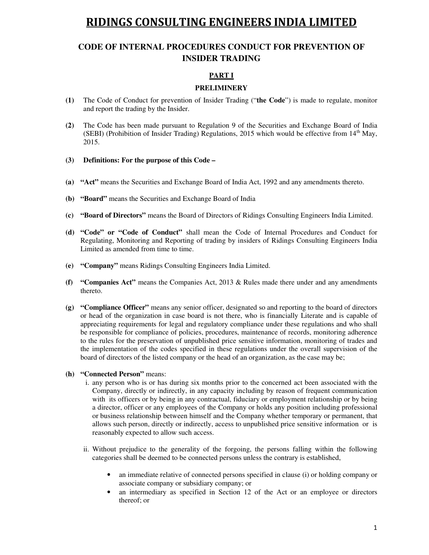## **CODE OF INTERNAL PROCEDURES CONDUCT FOR PREVENTION OF INSIDER TRADING**

## **PART I**

### **PRELIMINERY**

- **(1)** The Code of Conduct for prevention of Insider Trading ("**the Code**") is made to regulate, monitor and report the trading by the Insider.
- **(2)** The Code has been made pursuant to Regulation 9 of the Securities and Exchange Board of India (SEBI) (Prohibition of Insider Trading) Regulations, 2015 which would be effective from  $14<sup>th</sup>$  May, 2015.
- **(3) Definitions: For the purpose of this Code**
- **(a) "Act"** means the Securities and Exchange Board of India Act, 1992 and any amendments thereto.
- **(b) "Board"** means the Securities and Exchange Board of India
- **(c) "Board of Directors"** means the Board of Directors of Ridings Consulting Engineers India Limited.
- **(d) "Code" or "Code of Conduct"** shall mean the Code of Internal Procedures and Conduct for Regulating, Monitoring and Reporting of trading by insiders of Ridings Consulting Engineers India Limited as amended from time to time.
- **(e) "Company"** means Ridings Consulting Engineers India Limited.
- **(f) "Companies Act"** means the Companies Act, 2013 & Rules made there under and any amendments thereto.
- **(g) "Compliance Officer"** means any senior officer, designated so and reporting to the board of directors or head of the organization in case board is not there, who is financially Literate and is capable of appreciating requirements for legal and regulatory compliance under these regulations and who shall be responsible for compliance of policies, procedures, maintenance of records, monitoring adherence to the rules for the preservation of unpublished price sensitive information, monitoring of trades and the implementation of the codes specified in these regulations under the overall supervision of the board of directors of the listed company or the head of an organization, as the case may be;
- **(h) "Connected Person"** means:
	- i. any person who is or has during six months prior to the concerned act been associated with the Company, directly or indirectly, in any capacity including by reason of frequent communication with its officers or by being in any contractual, fiduciary or employment relationship or by being a director, officer or any employees of the Company or holds any position including professional or business relationship between himself and the Company whether temporary or permanent, that allows such person, directly or indirectly, access to unpublished price sensitive information or is reasonably expected to allow such access.
	- ii. Without prejudice to the generality of the forgoing, the persons falling within the following categories shall be deemed to be connected persons unless the contrary is established,
		- an immediate relative of connected persons specified in clause (i) or holding company or associate company or subsidiary company; or
		- an intermediary as specified in Section 12 of the Act or an employee or directors thereof; or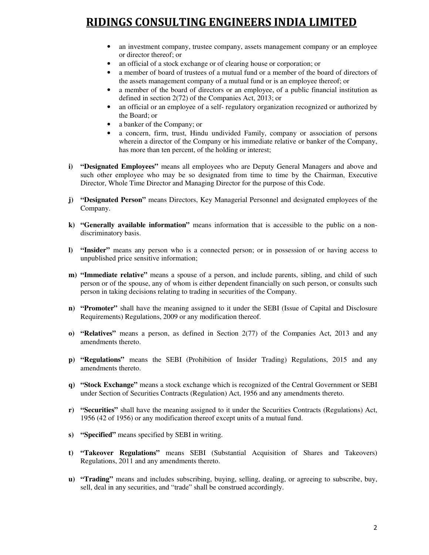- an investment company, trustee company, assets management company or an employee or director thereof; or
- an official of a stock exchange or of clearing house or corporation; or
- a member of board of trustees of a mutual fund or a member of the board of directors of the assets management company of a mutual fund or is an employee thereof; or
- a member of the board of directors or an employee, of a public financial institution as defined in section 2(72) of the Companies Act, 2013; or
- an official or an employee of a self- regulatory organization recognized or authorized by the Board; or
- a banker of the Company; or
- a concern, firm, trust, Hindu undivided Family, company or association of persons wherein a director of the Company or his immediate relative or banker of the Company, has more than ten percent, of the holding or interest;
- **i) "Designated Employees"** means all employees who are Deputy General Managers and above and such other employee who may be so designated from time to time by the Chairman, Executive Director, Whole Time Director and Managing Director for the purpose of this Code.
- **j) "Designated Person"** means Directors, Key Managerial Personnel and designated employees of the Company.
- **k) "Generally available information"** means information that is accessible to the public on a nondiscriminatory basis.
- **l) "Insider"** means any person who is a connected person; or in possession of or having access to unpublished price sensitive information;
- **m) "Immediate relative"** means a spouse of a person, and include parents, sibling, and child of such person or of the spouse, any of whom is either dependent financially on such person, or consults such person in taking decisions relating to trading in securities of the Company.
- **n) "Promoter"** shall have the meaning assigned to it under the SEBI (Issue of Capital and Disclosure Requirements) Regulations, 2009 or any modification thereof.
- **o) "Relatives"** means a person, as defined in Section 2(77) of the Companies Act, 2013 and any amendments thereto.
- **p) "Regulations"** means the SEBI (Prohibition of Insider Trading) Regulations, 2015 and any amendments thereto.
- **q) "Stock Exchange"** means a stock exchange which is recognized of the Central Government or SEBI under Section of Securities Contracts (Regulation) Act, 1956 and any amendments thereto.
- **r) "Securities"** shall have the meaning assigned to it under the Securities Contracts (Regulations) Act, 1956 (42 of 1956) or any modification thereof except units of a mutual fund.
- **s) "Specified"** means specified by SEBI in writing.
- **t) "Takeover Regulations"** means SEBI (Substantial Acquisition of Shares and Takeovers) Regulations, 2011 and any amendments thereto.
- **u) "Trading"** means and includes subscribing, buying, selling, dealing, or agreeing to subscribe, buy, sell, deal in any securities, and "trade" shall be construed accordingly.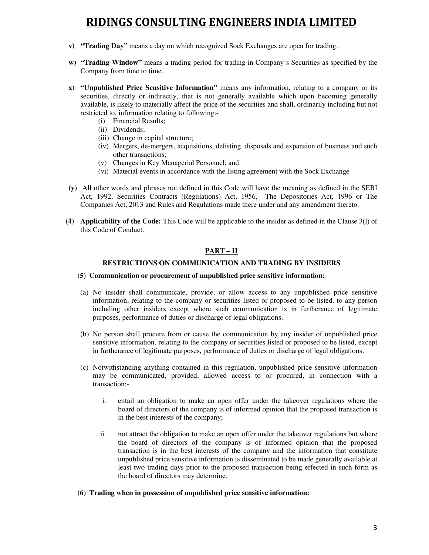- **v) "Trading Day"** means a day on which recognized Sock Exchanges are open for trading.
- **w) "Trading Window"** means a trading period for trading in Company's Securities as specified by the Company from time to time.
- **x) "Unpublished Price Sensitive Information"** means any information, relating to a company or its securities, directly or indirectly, that is not generally available which upon becoming generally available, is likely to materially affect the price of the securities and shall, ordinarily including but not restricted to, information relating to following:-
	- (i) Financial Results;
	- (ii) Dividends;
	- (iii) Change in capital structure;
	- (iv) Mergers, de-mergers, acquisitions, delisting, disposals and expansion of business and such other transactions;
	- (v) Changes in Key Managerial Personnel; and
	- (vi) Material events in accordance with the listing agreement with the Sock Exchange
- **(y)** All other words and phrases not defined in this Code will have the meaning as defined in the SEBI Act, 1992, Securities Contracts (Regulations) Act, 1956, The Depositories Act, 1996 or The Companies Act, 2013 and Rules and Regulations made there under and any amendment thereto.
- **(4) Applicability of the Code:** This Code will be applicable to the insider as defined in the Clause 3(l) of this Code of Conduct.

## **PART – II**

### **RESTRICTIONS ON COMMUNICATION AND TRADING BY INSIDERS**

### **(5) Communication or procurement of unpublished price sensitive information:**

- (a) No insider shall communicate, provide, or allow access to any unpublished price sensitive information, relating to the company or securities listed or proposed to be listed, to any person including other insiders except where such communication is in furtherance of legitimate purposes, performance of duties or discharge of legal obligations.
- (b) No person shall procure from or cause the communication by any insider of unpublished price sensitive information, relating to the company or securities listed or proposed to be listed, except in furtherance of legitimate purposes, performance of duties or discharge of legal obligations.
- (c) Notwithstanding anything contained in this regulation, unpublished price sensitive information may be communicated, provided, allowed access to or procured, in connection with a transaction:
	- i. entail an obligation to make an open offer under the takeover regulations where the board of directors of the company is of informed opinion that the proposed transaction is in the best interests of the company;
	- ii. not attract the obligation to make an open offer under the takeover regulations but where the board of directors of the company is of informed opinion that the proposed transaction is in the best interests of the company and the information that constitute unpublished price sensitive information is disseminated to be made generally available at least two trading days prior to the proposed transaction being effected in such form as the board of directors may determine.
- **(6) Trading when in possession of unpublished price sensitive information:**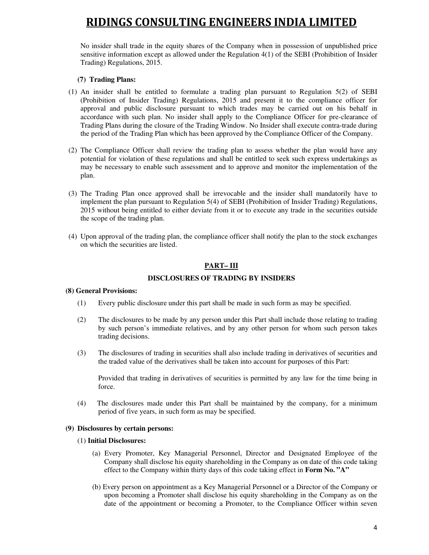No insider shall trade in the equity shares of the Company when in possession of unpublished price sensitive information except as allowed under the Regulation 4(1) of the SEBI (Prohibition of Insider Trading) Regulations, 2015.

### **(7) Trading Plans:**

- (1) An insider shall be entitled to formulate a trading plan pursuant to Regulation 5(2) of SEBI (Prohibition of Insider Trading) Regulations, 2015 and present it to the compliance officer for approval and public disclosure pursuant to which trades may be carried out on his behalf in accordance with such plan. No insider shall apply to the Compliance Officer for pre-clearance of Trading Plans during the closure of the Trading Window. No Insider shall execute contra-trade during the period of the Trading Plan which has been approved by the Compliance Officer of the Company.
- (2) The Compliance Officer shall review the trading plan to assess whether the plan would have any potential for violation of these regulations and shall be entitled to seek such express undertakings as may be necessary to enable such assessment and to approve and monitor the implementation of the plan.
- (3) The Trading Plan once approved shall be irrevocable and the insider shall mandatorily have to implement the plan pursuant to Regulation 5(4) of SEBI (Prohibition of Insider Trading) Regulations, 2015 without being entitled to either deviate from it or to execute any trade in the securities outside the scope of the trading plan.
- (4) Upon approval of the trading plan, the compliance officer shall notify the plan to the stock exchanges on which the securities are listed.

### **PART– III**

### **DISCLOSURES OF TRADING BY INSIDERS**

### **(8) General Provisions:**

- (1) Every public disclosure under this part shall be made in such form as may be specified.
- (2) The disclosures to be made by any person under this Part shall include those relating to trading by such person's immediate relatives, and by any other person for whom such person takes trading decisions.
- (3) The disclosures of trading in securities shall also include trading in derivatives of securities and the traded value of the derivatives shall be taken into account for purposes of this Part:

Provided that trading in derivatives of securities is permitted by any law for the time being in force.

(4) The disclosures made under this Part shall be maintained by the company, for a minimum period of five years, in such form as may be specified.

### **(9) Disclosures by certain persons:**

#### (1) **Initial Disclosures:**

- (a) Every Promoter, Key Managerial Personnel, Director and Designated Employee of the Company shall disclose his equity shareholding in the Company as on date of this code taking effect to the Company within thirty days of this code taking effect in **Form No. "A"**
- (b) Every person on appointment as a Key Managerial Personnel or a Director of the Company or upon becoming a Promoter shall disclose his equity shareholding in the Company as on the date of the appointment or becoming a Promoter, to the Compliance Officer within seven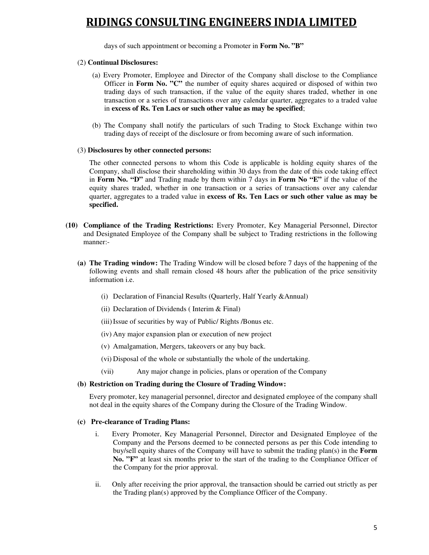days of such appointment or becoming a Promoter in **Form No. "B"** 

### (2) **Continual Disclosures:**

- (a) Every Promoter, Employee and Director of the Company shall disclose to the Compliance Officer in **Form No. "C"** the number of equity shares acquired or disposed of within two trading days of such transaction, if the value of the equity shares traded, whether in one transaction or a series of transactions over any calendar quarter, aggregates to a traded value in **excess of Rs. Ten Lacs or such other value as may be specified**;
- (b) The Company shall notify the particulars of such Trading to Stock Exchange within two trading days of receipt of the disclosure or from becoming aware of such information.

### (3) **Disclosures by other connected persons:**

The other connected persons to whom this Code is applicable is holding equity shares of the Company, shall disclose their shareholding within 30 days from the date of this code taking effect in **Form No. "D"** and Trading made by them within 7 days in **Form No "E"** if the value of the equity shares traded, whether in one transaction or a series of transactions over any calendar quarter, aggregates to a traded value in **excess of Rs. Ten Lacs or such other value as may be specified.**

- **(10) Compliance of the Trading Restrictions:** Every Promoter, Key Managerial Personnel, Director and Designated Employee of the Company shall be subject to Trading restrictions in the following manner:-
	- **(a) The Trading window:** The Trading Window will be closed before 7 days of the happening of the following events and shall remain closed 48 hours after the publication of the price sensitivity information i.e.
		- (i) Declaration of Financial Results (Quarterly, Half Yearly &Annual)
		- (ii) Declaration of Dividends ( Interim & Final)
		- (iii)Issue of securities by way of Public/ Rights /Bonus etc.
		- (iv) Any major expansion plan or execution of new project
		- (v) Amalgamation, Mergers, takeovers or any buy back.
		- (vi) Disposal of the whole or substantially the whole of the undertaking.
		- (vii) Any major change in policies, plans or operation of the Company

### **(b) Restriction on Trading during the Closure of Trading Window:**

Every promoter, key managerial personnel, director and designated employee of the company shall not deal in the equity shares of the Company during the Closure of the Trading Window.

### **(c) Pre-clearance of Trading Plans:**

- i. Every Promoter, Key Managerial Personnel, Director and Designated Employee of the Company and the Persons deemed to be connected persons as per this Code intending to buy/sell equity shares of the Company will have to submit the trading plan(s) in the **Form No. "F"** at least six months prior to the start of the trading to the Compliance Officer of the Company for the prior approval.
- ii. Only after receiving the prior approval, the transaction should be carried out strictly as per the Trading plan(s) approved by the Compliance Officer of the Company.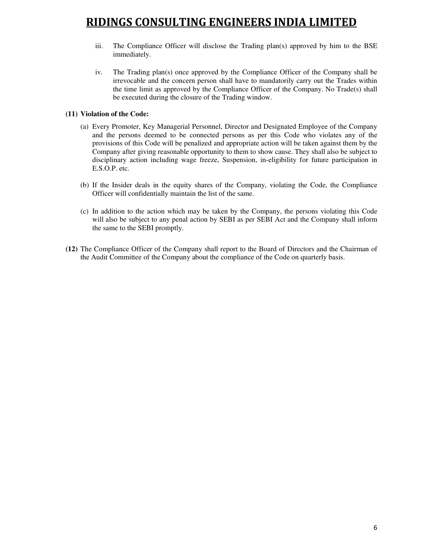- iii. The Compliance Officer will disclose the Trading plan(s) approved by him to the BSE immediately.
- iv. The Trading plan(s) once approved by the Compliance Officer of the Company shall be irrevocable and the concern person shall have to mandatorily carry out the Trades within the time limit as approved by the Compliance Officer of the Company. No Trade(s) shall be executed during the closure of the Trading window.

### **(11) Violation of the Code:**

- (a) Every Promoter, Key Managerial Personnel, Director and Designated Employee of the Company and the persons deemed to be connected persons as per this Code who violates any of the provisions of this Code will be penalized and appropriate action will be taken against them by the Company after giving reasonable opportunity to them to show cause. They shall also be subject to disciplinary action including wage freeze, Suspension, in-eligibility for future participation in E.S.O.P. etc.
- (b) If the Insider deals in the equity shares of the Company, violating the Code, the Compliance Officer will confidentially maintain the list of the same.
- (c) In addition to the action which may be taken by the Company, the persons violating this Code will also be subject to any penal action by SEBI as per SEBI Act and the Company shall inform the same to the SEBI promptly.
- **(12)** The Compliance Officer of the Company shall report to the Board of Directors and the Chairman of the Audit Committee of the Company about the compliance of the Code on quarterly basis.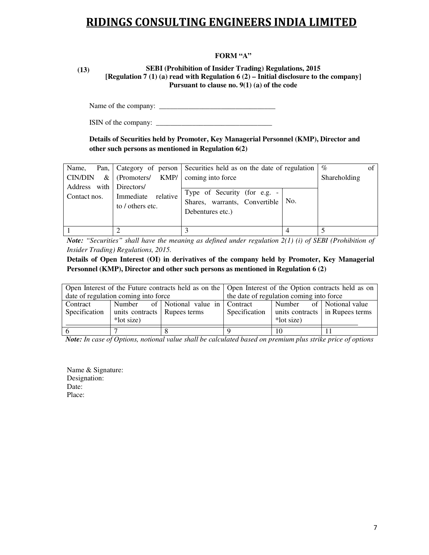### **FORM "A"**

**(13) SEBI (Prohibition of Insider Trading) Regulations, 2015 [Regulation 7 (1) (a) read with Regulation 6 (2) – Initial disclosure to the company] Pursuant to clause no. 9(1) (a) of the code** 

Name of the company: \_\_\_\_\_\_\_\_\_\_\_\_\_\_\_\_\_\_\_\_\_\_\_\_\_\_\_\_\_\_\_\_

ISIN of the company: \_\_\_\_\_\_\_\_\_\_\_\_\_\_\_\_\_\_\_\_\_\_\_\_\_\_\_\_\_\_\_\_

**Details of Securities held by Promoter, Key Managerial Personnel (KMP), Director and other such persons as mentioned in Regulation 6(2)** 

| Name,<br><b>CIN/DIN</b><br>&            | (Promoters/ KMP/                          | Pan,   Category of person   Securities held as on the date of regulation<br>coming into force |     | $\%$<br>Shareholding | of |
|-----------------------------------------|-------------------------------------------|-----------------------------------------------------------------------------------------------|-----|----------------------|----|
| Address with Directors/<br>Contact nos. | relative<br>Immediate<br>to / others etc. | Type of Security (for e.g. -<br>Shares, warrants, Convertible<br>Debentures etc.)             | No. |                      |    |
|                                         |                                           |                                                                                               |     |                      |    |

*Note: "Securities" shall have the meaning as defined under regulation 2(1) (i) of SEBI (Prohibition of Insider Trading) Regulations, 2015.* 

**Details of Open Interest (OI) in derivatives of the company held by Promoter, Key Managerial Personnel (KMP), Director and other such persons as mentioned in Regulation 6 (2)** 

|               |                                      |                                      | Open Interest of the Future contracts held as on the   Open Interest of the Option contracts held as on |            |                                 |  |  |  |
|---------------|--------------------------------------|--------------------------------------|---------------------------------------------------------------------------------------------------------|------------|---------------------------------|--|--|--|
|               | date of regulation coming into force |                                      | the date of regulation coming into force                                                                |            |                                 |  |  |  |
| Contract      |                                      | Number of Notional value in Contract |                                                                                                         |            | Number of Notional value        |  |  |  |
| Specification | units contracts Rupees terms         |                                      | Specification                                                                                           |            | units contracts in Rupees terms |  |  |  |
|               | *lot size)                           |                                      |                                                                                                         | *lot size) |                                 |  |  |  |
|               |                                      |                                      |                                                                                                         | 10         |                                 |  |  |  |

*Note: In case of Options, notional value shall be calculated based on premium plus strike price of options* 

Name & Signature: Designation: Date: Place: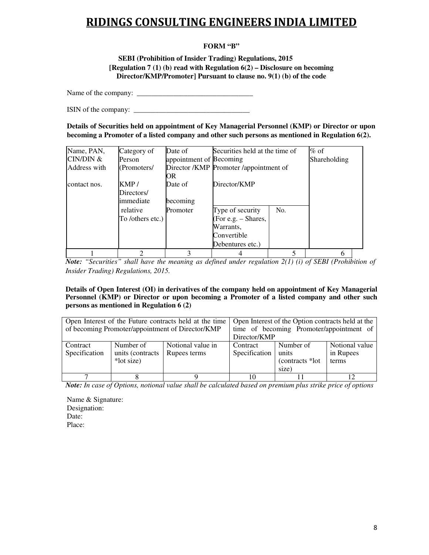## **FORM "B"**

**SEBI (Prohibition of Insider Trading) Regulations, 2015 [Regulation 7 (1) (b) read with Regulation 6(2) – Disclosure on becoming Director/KMP/Promoter] Pursuant to clause no. 9(1) (b) of the code**

Name of the company: \_

ISIN of the company: \_\_\_\_\_\_\_\_\_\_\_\_\_\_\_\_\_\_\_\_\_\_\_\_\_\_\_\_\_\_\_\_

**Details of Securities held on appointment of Key Managerial Personnel (KMP) or Director or upon becoming a Promoter of a listed company and other such persons as mentioned in Regulation 6(2).**

| Name, PAN,   | Category of      | Date of                 | Securities held at the time of         |     | $%$ of       |
|--------------|------------------|-------------------------|----------------------------------------|-----|--------------|
| CIN/DIN &    | Person           | appointment of Becoming |                                        |     | Shareholding |
| Address with | (Promoters/      |                         | Director /KMP Promoter /appointment of |     |              |
|              |                  | OR                      |                                        |     |              |
| contact nos. | KMP/             | Date of                 | Director/KMP                           |     |              |
|              | Directors/       |                         |                                        |     |              |
|              | immediate        | becoming                |                                        |     |              |
|              | relative         | Promoter                | Type of security                       | No. |              |
|              | To /others etc.) |                         | (For e.g. – Shares,                    |     |              |
|              |                  |                         | Warrants,                              |     |              |
|              |                  |                         | Convertible                            |     |              |
|              |                  |                         | Debentures etc.)                       |     |              |
|              | っ                |                         |                                        |     | 6            |

*Note: "Securities" shall have the meaning as defined under regulation 2(1) (i) of SEBI (Prohibition of Insider Trading) Regulations, 2015.* 

**Details of Open Interest (OI) in derivatives of the company held on appointment of Key Managerial Personnel (KMP) or Director or upon becoming a Promoter of a listed company and other such persons as mentioned in Regulation 6 (2)** 

|                           |                                             | Open Interest of the Future contracts held at the time<br>of becoming Promoter/appointment of Director/KMP | Open Interest of the Option contracts held at the<br>time of becoming Promoter/appointment of<br>Director/KMP |                                                 |                                      |  |  |
|---------------------------|---------------------------------------------|------------------------------------------------------------------------------------------------------------|---------------------------------------------------------------------------------------------------------------|-------------------------------------------------|--------------------------------------|--|--|
| Contract<br>Specification | Number of<br>units (contracts<br>*lot size) | Notional value in<br>Rupees terms                                                                          | Contract<br>Specification                                                                                     | Number of<br>units<br>(contracts *lot)<br>size) | Notional value<br>in Rupees<br>terms |  |  |
|                           |                                             |                                                                                                            |                                                                                                               |                                                 |                                      |  |  |

*Note: In case of Options, notional value shall be calculated based on premium plus strike price of options* 

Name & Signature: Designation: Date: Place: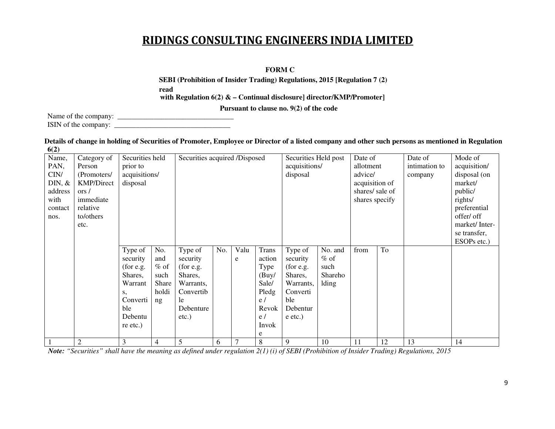## **FORM C**

**SEBI (Prohibition of Insider Trading) Regulations, 2015 [Regulation 7 (2) read with Regulation 6(2) & – Continual disclosure] director/KMP/Promoter]** 

 **Pursuant to clause no. 9(2) of the code** 

Name of the company: \_\_\_\_\_\_\_\_\_\_\_\_\_\_\_\_\_\_\_\_\_\_\_\_\_\_\_\_\_\_\_\_ ISIN of the company: \_\_\_\_\_\_\_\_\_\_\_\_\_\_\_\_\_\_\_\_\_\_\_\_\_\_\_\_\_\_\_\_

### **Details of change in holding of Securities of Promoter, Employee or Director of a listed company and other such persons as mentioned in Regulation 6(2)**

| Name,     | Category of       | Securities held |        | Securities acquired /Disposed |     |        |              | Securities Held post |         | Date of        |    | Date of       | Mode of       |
|-----------|-------------------|-----------------|--------|-------------------------------|-----|--------|--------------|----------------------|---------|----------------|----|---------------|---------------|
| PAN,      | Person            | prior to        |        |                               |     |        |              | acquisitions/        |         | allotment      |    | intimation to | acquisition/  |
| CIN/      | (Promoters/       | acquisitions/   |        |                               |     |        |              | disposal             |         | advice/        |    | company       | disposal (on  |
| $DIN, \&$ | <b>KMP/Direct</b> | disposal        |        |                               |     |        |              |                      |         | acquisition of |    |               | market/       |
| address   | ors/              |                 |        |                               |     |        |              |                      |         | shares/sale of |    |               | public/       |
| with      | immediate         |                 |        |                               |     |        |              |                      |         | shares specify |    |               | rights/       |
| contact   | relative          |                 |        |                               |     |        |              |                      |         |                |    |               | preferential  |
| nos.      | to/others         |                 |        |                               |     |        |              |                      |         |                |    |               | offer/ off    |
|           | etc.              |                 |        |                               |     |        |              |                      |         |                |    |               | market/Inter- |
|           |                   |                 |        |                               |     |        |              |                      |         |                |    |               | se transfer,  |
|           |                   |                 |        |                               |     |        |              |                      |         |                |    |               | ESOPs etc.)   |
|           |                   | Type of         | No.    | Type of                       | No. | Valu   | <b>Trans</b> | Type of              | No. and | from           | To |               |               |
|           |                   | security        | and    | security                      |     | e      | action       | security             | $%$ of  |                |    |               |               |
|           |                   | (for e.g.       | $%$ of | (for e.g.                     |     |        | Type         | (for e.g.            | such    |                |    |               |               |
|           |                   | Shares,         | such   | Shares,                       |     |        | (Buy/        | Shares,              | Shareho |                |    |               |               |
|           |                   | Warrant         | Share  | Warrants,                     |     |        | Sale/        | Warrants,            | lding   |                |    |               |               |
|           |                   | S,              | holdi  | Convertib                     |     |        | Pledg        | Converti             |         |                |    |               |               |
|           |                   | Converti        | ng     | le                            |     |        | e/           | ble                  |         |                |    |               |               |
|           |                   | ble             |        | Debenture                     |     |        | Revok        | Debentur             |         |                |    |               |               |
|           |                   | Debentu         |        | $etc.$ )                      |     |        | e/           | $e$ etc.)            |         |                |    |               |               |
|           |                   | re etc.)        |        |                               |     |        | Invok        |                      |         |                |    |               |               |
|           |                   |                 |        |                               |     |        | e            |                      |         |                |    |               |               |
|           | $\mathfrak{2}$    | 3               | 4      | 5                             | 6   | $\tau$ | 8            | 9                    | 10      | 11             | 12 | 13            | 14            |

*Note: "Securities" shall have the meaning as defined under regulation 2(1) (i) of SEBI (Prohibition of Insider Trading) Regulations, 2015*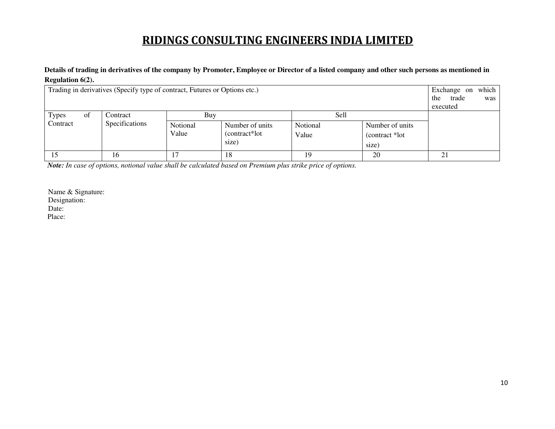## **Details of trading in derivatives of the company by Promoter, Employee or Director of a listed company and other such persons as mentioned in Regulation 6(2).**

| Trading in derivatives (Specify type of contract, Futures or Options etc.) | which 1<br>Exchange on<br>the<br>trade<br>was<br>executed |                          |                                            |                           |                                             |    |
|----------------------------------------------------------------------------|-----------------------------------------------------------|--------------------------|--------------------------------------------|---------------------------|---------------------------------------------|----|
| <b>Types</b><br>ΟĪ<br>Contract                                             | Contract<br>Specifications                                | Buy<br>Notional<br>Value | Number of units<br>(contract*lot)<br>size) | Sell<br>Notional<br>Value | Number of units<br>(contract *lot)<br>size) |    |
|                                                                            | 16                                                        |                          | 18                                         | 19                        | 20                                          | 21 |

*Note: In case of options, notional value shall be calculated based on Premium plus strike price of options.*

Name & Signature: Designation: Date: Place: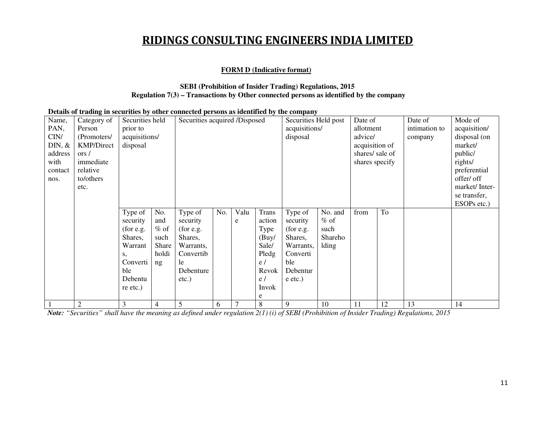### **FORM D (Indicative format)**

### **SEBI (Prohibition of Insider Trading) Regulations, 2015Regulation 7(3) – Transactions by Other connected persons as identified by the company**

### **Details of trading in securities by other connected persons as identified by the company**

| Name,            | Category of       | Securities held |                | Securities acquired /Disposed |     |      |              | Securities Held post |         | Date of         |    | Date of       | Mode of       |
|------------------|-------------------|-----------------|----------------|-------------------------------|-----|------|--------------|----------------------|---------|-----------------|----|---------------|---------------|
| PAN,             | Person            | prior to        |                |                               |     |      |              | acquisitions/        |         | allotment       |    | intimation to | acquisition/  |
| CIN/             | (Promoters/       | acquisitions/   |                |                               |     |      |              | disposal             |         | advice/         |    | company       | disposal (on  |
| $\text{DIN}, \&$ | <b>KMP/Direct</b> | disposal        |                |                               |     |      |              |                      |         | acquisition of  |    |               | market/       |
| address          | ors/              |                 |                |                               |     |      |              |                      |         | shares/ sale of |    |               | public/       |
| with             | immediate         |                 |                |                               |     |      |              |                      |         | shares specify  |    |               | rights/       |
| contact          | relative          |                 |                |                               |     |      |              |                      |         |                 |    |               | preferential  |
| nos.             | to/others         |                 |                |                               |     |      |              |                      |         |                 |    |               | offer/ off    |
|                  | etc.              |                 |                |                               |     |      |              |                      |         |                 |    |               | market/Inter- |
|                  |                   |                 |                |                               |     |      |              |                      |         |                 |    |               | se transfer,  |
|                  |                   |                 |                |                               |     |      |              |                      |         |                 |    |               | ESOPs etc.)   |
|                  |                   | Type of         | No.            | Type of                       | No. | Valu | <b>Trans</b> | Type of              | No. and | from            | To |               |               |
|                  |                   | security        | and            | security                      |     | e    | action       | security             | $%$ of  |                 |    |               |               |
|                  |                   | $($ for e.g.    | $%$ of         | $($ for e.g.                  |     |      | Type         | $($ for e.g.         | such    |                 |    |               |               |
|                  |                   | Shares,         | such           | Shares,                       |     |      | (Buy/        | Shares,              | Shareho |                 |    |               |               |
|                  |                   | Warrant         | Share          | Warrants,                     |     |      | Sale/        | Warrants,            | lding   |                 |    |               |               |
|                  |                   | S,              | holdi          | Convertib                     |     |      | Pledg        | Converti             |         |                 |    |               |               |
|                  |                   | Converti        | ng             | le                            |     |      | e/           | ble                  |         |                 |    |               |               |
|                  |                   | ble             |                | Debenture                     |     |      | Revok        | Debentur             |         |                 |    |               |               |
|                  |                   | Debentu         |                | $etc.$ )                      |     |      | e/           | e etc.)              |         |                 |    |               |               |
|                  |                   | re etc.)        |                |                               |     |      | Invok        |                      |         |                 |    |               |               |
|                  |                   |                 |                |                               |     |      | e            |                      |         |                 |    |               |               |
|                  | 2                 | 3               | $\overline{4}$ | 5                             | 6   |      | 8            | 9                    | 10      | 11              | 12 | 13            | 14            |

*Note: "Securities" shall have the meaning as defined under regulation 2(1) (i) of SEBI (Prohibition of Insider Trading) Regulations, 2015*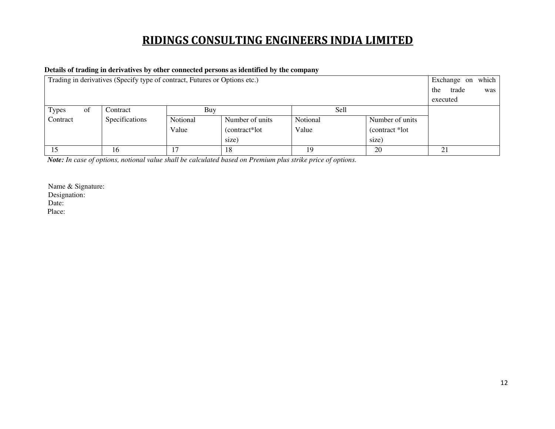## **Details of trading in derivatives by other connected persons as identified by the company**

| Trading in derivatives (Specify type of contract, Futures or Options etc.) |                     | Exchange on which |                 |          |                 |    |
|----------------------------------------------------------------------------|---------------------|-------------------|-----------------|----------|-----------------|----|
|                                                                            | trade<br>the<br>was |                   |                 |          |                 |    |
|                                                                            | executed            |                   |                 |          |                 |    |
| <b>Types</b><br>of                                                         | Contract            | Buy               |                 | Sell     |                 |    |
| Contract                                                                   | Specifications      | Notional          | Number of units | Notional | Number of units |    |
|                                                                            |                     | Value             | (contract*lot)  | Value    | (contract *lot) |    |
|                                                                            |                     |                   |                 |          |                 |    |
| 15                                                                         | 16                  |                   | 18              | 19       | 20              | 21 |

*Note: In case of options, notional value shall be calculated based on Premium plus strike price of options.*

Name & Signature: Designation: Date: Place: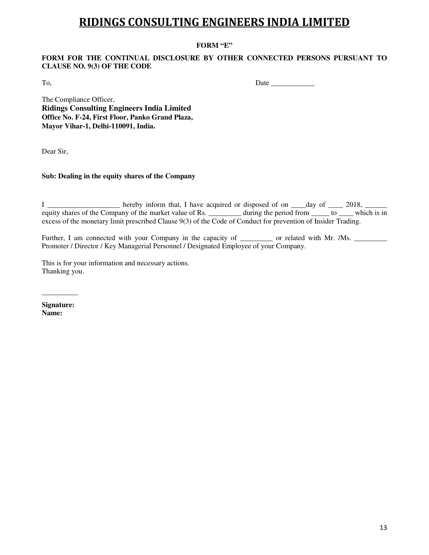### **FORM "E"**

### **FORM FOR THE CONTINUAL DISCLOSURE BY OTHER CONNECTED PERSONS PURSUANT TO CLAUSE NO. 9(3) OF THE CODE**

To, Date \_\_\_\_\_\_\_\_\_\_\_\_

The Compliance Officer, **Ridings Consulting Engineers India Limited Office No. F-24, First Floor, Panko Grand Plaza, Mayor Vihar-1, Delhi-110091, India.** 

Dear Sir,

### **Sub: Dealing in the equity shares of the Company**

I \_\_\_\_\_\_\_\_\_\_\_\_\_\_\_\_\_\_\_\_ hereby inform that, I have acquired or disposed of on \_\_\_\_day of \_\_\_\_\_ 2018, \_\_\_\_\_\_ equity shares of the Company of the market value of Rs. \_\_\_\_\_\_\_\_\_ during the period from \_\_\_\_\_ to \_\_\_\_ which is in excess of the monetary limit prescribed Clause 9(3) of the Code of Conduct for prevention of Insider Trading.

Further, I am connected with your Company in the capacity of \_\_\_\_\_\_\_\_\_\_ or related with Mr. /Ms. \_\_\_\_\_\_\_\_\_\_\_\_\_ Promoter / Director / Key Managerial Personnel / Designated Employee of your Company.

This is for your information and necessary actions. Thanking you.

**Signature: Name:** 

 $\overline{\phantom{a}}$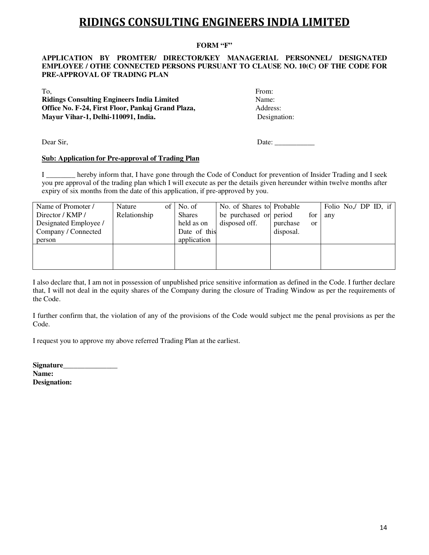### **FORM "F"**

### **APPLICATION BY PROMTER/ DIRECTOR/KEY MANAGERIAL PERSONNEL/ DESIGNATED EMPLOYEE / OTHE CONNECTED PERSONS PURSUANT TO CLAUSE NO. 10(C) OF THE CODE FOR PRE-APPROVAL OF TRADING PLAN**

To, From: **Ridings Consulting Engineers India Limited** Name: **Office No. F-24, First Floor, Pankaj Grand Plaza, Address: Mayur Vihar-1, Delhi-110091, India.** Designation:

Dear Sir, Date:

### **Sub: Application for Pre-approval of Trading Plan**

I \_\_\_\_\_\_\_\_ hereby inform that, I have gone through the Code of Conduct for prevention of Insider Trading and I seek you pre approval of the trading plan which I will execute as per the details given hereunder within twelve months after expiry of six months from the date of this application, if pre-approved by you.

| Name of Promoter /    | Nature       | of $\vert$ No. of | No. of Shares to Probable |           |               | Folio No./ DP ID, if |  |  |
|-----------------------|--------------|-------------------|---------------------------|-----------|---------------|----------------------|--|--|
| Director / KMP /      | Relationship | <b>Shares</b>     | be purchased or period    |           | for           | any                  |  |  |
| Designated Employee / |              | held as on        | disposed off.             | purchase  | <sub>or</sub> |                      |  |  |
| Company / Connected   |              | Date of this      |                           | disposal. |               |                      |  |  |
| person                |              | application       |                           |           |               |                      |  |  |
|                       |              |                   |                           |           |               |                      |  |  |
|                       |              |                   |                           |           |               |                      |  |  |
|                       |              |                   |                           |           |               |                      |  |  |

I also declare that, I am not in possession of unpublished price sensitive information as defined in the Code. I further declare that, I will not deal in the equity shares of the Company during the closure of Trading Window as per the requirements of the Code.

I further confirm that, the violation of any of the provisions of the Code would subject me the penal provisions as per the Code.

I request you to approve my above referred Trading Plan at the earliest.

**Signature\_\_\_\_\_\_\_\_\_\_\_\_\_\_\_ Name: Designation:**